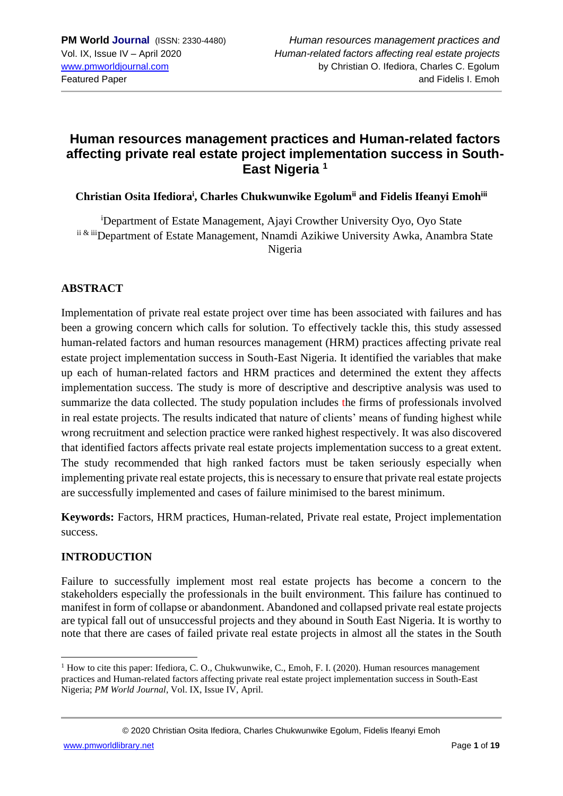### **Human resources management practices and Human-related factors affecting private real estate project implementation success in South-East Nigeria <sup>1</sup>**

**Christian Osita Ifediora<sup>i</sup> , Charles Chukwunwike Egolumii and Fidelis Ifeanyi Emohiii**

<sup>i</sup>Department of Estate Management, Ajayi Crowther University Oyo, Oyo State ii & iiiDepartment of Estate Management, Nnamdi Azikiwe University Awka, Anambra State Nigeria

### **ABSTRACT**

Implementation of private real estate project over time has been associated with failures and has been a growing concern which calls for solution. To effectively tackle this, this study assessed human-related factors and human resources management (HRM) practices affecting private real estate project implementation success in South-East Nigeria. It identified the variables that make up each of human-related factors and HRM practices and determined the extent they affects implementation success. The study is more of descriptive and descriptive analysis was used to summarize the data collected. The study population includes the firms of professionals involved in real estate projects. The results indicated that nature of clients' means of funding highest while wrong recruitment and selection practice were ranked highest respectively. It was also discovered that identified factors affects private real estate projects implementation success to a great extent. The study recommended that high ranked factors must be taken seriously especially when implementing private real estate projects, this is necessary to ensure that private real estate projects are successfully implemented and cases of failure minimised to the barest minimum.

**Keywords:** Factors, HRM practices, Human-related, Private real estate, Project implementation success.

### **INTRODUCTION**

Failure to successfully implement most real estate projects has become a concern to the stakeholders especially the professionals in the built environment. This failure has continued to manifest in form of collapse or abandonment. Abandoned and collapsed private real estate projects are typical fall out of unsuccessful projects and they abound in South East Nigeria. It is worthy to note that there are cases of failed private real estate projects in almost all the states in the South

<sup>&</sup>lt;sup>1</sup> How to cite this paper: Ifediora, C. O., Chukwunwike, C., Emoh, F. I. (2020). Human resources management practices and Human-related factors affecting private real estate project implementation success in South-East Nigeria; *PM World Journal*, Vol. IX, Issue IV, April.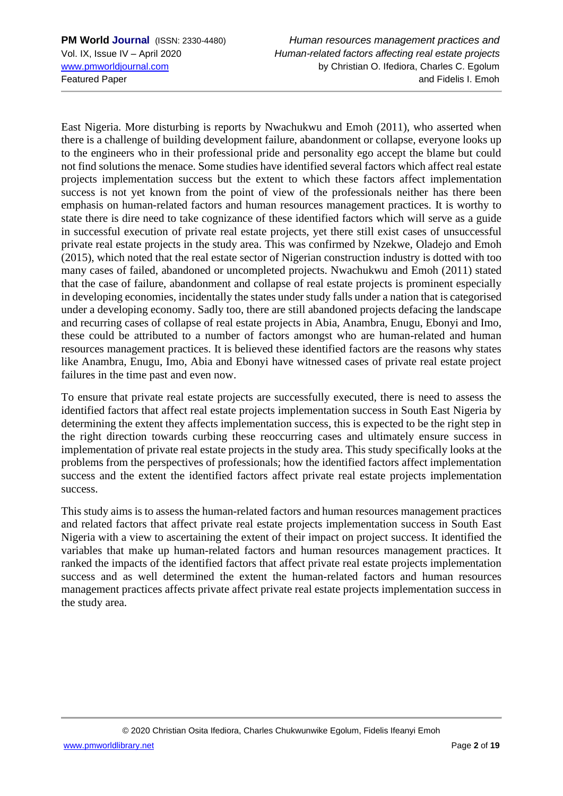East Nigeria. More disturbing is reports by Nwachukwu and Emoh (2011), who asserted when there is a challenge of building development failure, abandonment or collapse, everyone looks up to the engineers who in their professional pride and personality ego accept the blame but could not find solutions the menace. Some studies have identified several factors which affect real estate projects implementation success but the extent to which these factors affect implementation success is not yet known from the point of view of the professionals neither has there been emphasis on human-related factors and human resources management practices. It is worthy to state there is dire need to take cognizance of these identified factors which will serve as a guide in successful execution of private real estate projects, yet there still exist cases of unsuccessful private real estate projects in the study area. This was confirmed by Nzekwe, Oladejo and Emoh (2015), which noted that the real estate sector of Nigerian construction industry is dotted with too many cases of failed, abandoned or uncompleted projects. Nwachukwu and Emoh (2011) stated that the case of failure, abandonment and collapse of real estate projects is prominent especially in developing economies, incidentally the states under study falls under a nation that is categorised under a developing economy. Sadly too, there are still abandoned projects defacing the landscape and recurring cases of collapse of real estate projects in Abia, Anambra, Enugu, Ebonyi and Imo, these could be attributed to a number of factors amongst who are human-related and human resources management practices. It is believed these identified factors are the reasons why states like Anambra, Enugu, Imo, Abia and Ebonyi have witnessed cases of private real estate project failures in the time past and even now.

To ensure that private real estate projects are successfully executed, there is need to assess the identified factors that affect real estate projects implementation success in South East Nigeria by determining the extent they affects implementation success, this is expected to be the right step in the right direction towards curbing these reoccurring cases and ultimately ensure success in implementation of private real estate projects in the study area. This study specifically looks at the problems from the perspectives of professionals; how the identified factors affect implementation success and the extent the identified factors affect private real estate projects implementation success.

This study aims is to assess the human-related factors and human resources management practices and related factors that affect private real estate projects implementation success in South East Nigeria with a view to ascertaining the extent of their impact on project success. It identified the variables that make up human-related factors and human resources management practices. It ranked the impacts of the identified factors that affect private real estate projects implementation success and as well determined the extent the human-related factors and human resources management practices affects private affect private real estate projects implementation success in the study area.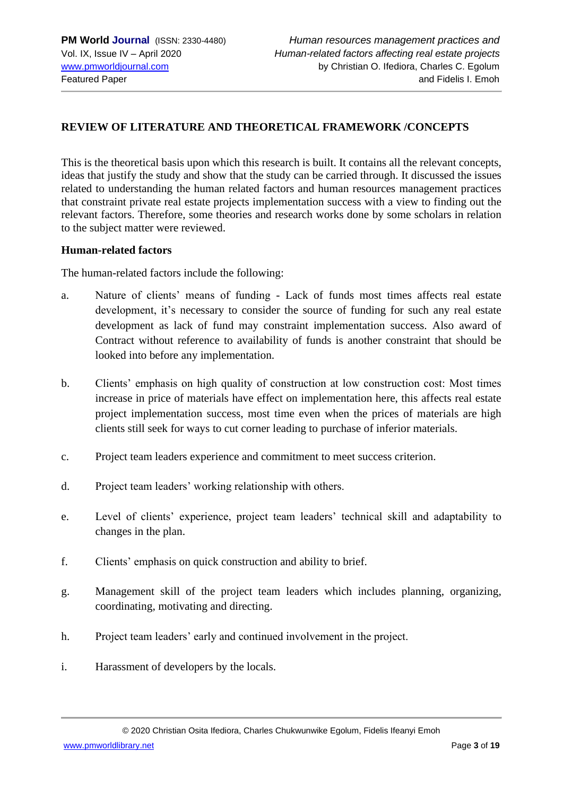### **REVIEW OF LITERATURE AND THEORETICAL FRAMEWORK /CONCEPTS**

This is the theoretical basis upon which this research is built. It contains all the relevant concepts, ideas that justify the study and show that the study can be carried through. It discussed the issues related to understanding the human related factors and human resources management practices that constraint private real estate projects implementation success with a view to finding out the relevant factors. Therefore, some theories and research works done by some scholars in relation to the subject matter were reviewed.

#### **Human-related factors**

The human-related factors include the following:

- a. Nature of clients' means of funding Lack of funds most times affects real estate development, it's necessary to consider the source of funding for such any real estate development as lack of fund may constraint implementation success. Also award of Contract without reference to availability of funds is another constraint that should be looked into before any implementation.
- b. Clients' emphasis on high quality of construction at low construction cost: Most times increase in price of materials have effect on implementation here, this affects real estate project implementation success, most time even when the prices of materials are high clients still seek for ways to cut corner leading to purchase of inferior materials.
- c. Project team leaders experience and commitment to meet success criterion.
- d. Project team leaders' working relationship with others.
- e. Level of clients' experience, project team leaders' technical skill and adaptability to changes in the plan.
- f. Clients' emphasis on quick construction and ability to brief.
- g. Management skill of the project team leaders which includes planning, organizing, coordinating, motivating and directing.
- h. Project team leaders' early and continued involvement in the project.
- i. Harassment of developers by the locals.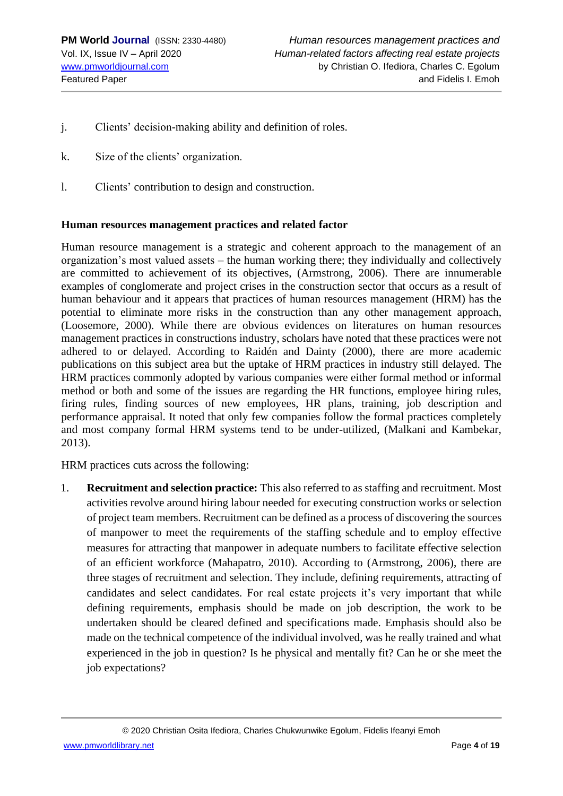- j. Clients' decision-making ability and definition of roles.
- k. Size of the clients' organization.
- l. Clients' contribution to design and construction.

#### **Human resources management practices and related factor**

Human resource management is a strategic and coherent approach to the management of an organization's most valued assets – the human working there; they individually and collectively are committed to achievement of its objectives, (Armstrong, 2006). There are innumerable examples of conglomerate and project crises in the construction sector that occurs as a result of human behaviour and it appears that practices of human resources management (HRM) has the potential to eliminate more risks in the construction than any other management approach, (Loosemore, 2000). While there are obvious evidences on literatures on human resources management practices in constructions industry, scholars have noted that these practices were not adhered to or delayed. According to Raidén and Dainty (2000), there are more academic publications on this subject area but the uptake of HRM practices in industry still delayed. The HRM practices commonly adopted by various companies were either formal method or informal method or both and some of the issues are regarding the HR functions, employee hiring rules, firing rules, finding sources of new employees, HR plans, training, job description and performance appraisal. It noted that only few companies follow the formal practices completely and most company formal HRM systems tend to be under-utilized, (Malkani and Kambekar, 2013).

HRM practices cuts across the following:

1. **Recruitment and selection practice:** This also referred to as staffing and recruitment. Most activities revolve around hiring labour needed for executing construction works or selection of project team members. Recruitment can be defined as a process of discovering the sources of manpower to meet the requirements of the staffing schedule and to employ effective measures for attracting that manpower in adequate numbers to facilitate effective selection of an efficient workforce (Mahapatro, 2010). According to (Armstrong, 2006), there are three stages of recruitment and selection. They include, defining requirements, attracting of candidates and select candidates. For real estate projects it's very important that while defining requirements, emphasis should be made on job description, the work to be undertaken should be cleared defined and specifications made. Emphasis should also be made on the technical competence of the individual involved, was he really trained and what experienced in the job in question? Is he physical and mentally fit? Can he or she meet the job expectations?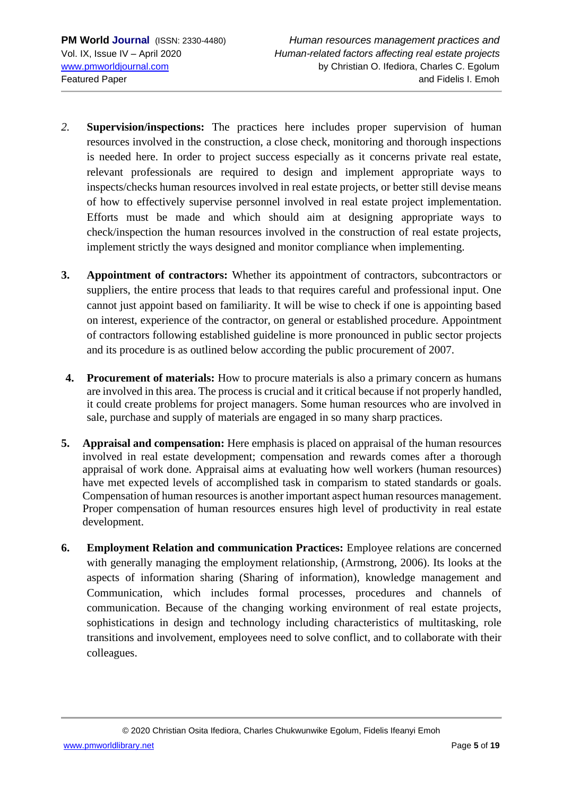- *2.* **Supervision/inspections:** The practices here includes proper supervision of human resources involved in the construction, a close check, monitoring and thorough inspections is needed here. In order to project success especially as it concerns private real estate, relevant professionals are required to design and implement appropriate ways to inspects/checks human resources involved in real estate projects, or better still devise means of how to effectively supervise personnel involved in real estate project implementation. Efforts must be made and which should aim at designing appropriate ways to check/inspection the human resources involved in the construction of real estate projects, implement strictly the ways designed and monitor compliance when implementing.
- **3. Appointment of contractors:** Whether its appointment of contractors, subcontractors or suppliers, the entire process that leads to that requires careful and professional input. One cannot just appoint based on familiarity. It will be wise to check if one is appointing based on interest, experience of the contractor, on general or established procedure. Appointment of contractors following established guideline is more pronounced in public sector projects and its procedure is as outlined below according the public procurement of 2007.
- **4. Procurement of materials:** How to procure materials is also a primary concern as humans are involved in this area. The process is crucial and it critical because if not properly handled, it could create problems for project managers. Some human resources who are involved in sale, purchase and supply of materials are engaged in so many sharp practices.
- **5. Appraisal and compensation:** Here emphasis is placed on appraisal of the human resources involved in real estate development; compensation and rewards comes after a thorough appraisal of work done. Appraisal aims at evaluating how well workers (human resources) have met expected levels of accomplished task in comparism to stated standards or goals. Compensation of human resources is another important aspect human resources management. Proper compensation of human resources ensures high level of productivity in real estate development.
- **6. Employment Relation and communication Practices:** Employee relations are concerned with generally managing the employment relationship, (Armstrong, 2006). Its looks at the aspects of information sharing (Sharing of information), knowledge management and Communication, which includes formal processes, procedures and channels of communication. Because of the changing working environment of real estate projects, sophistications in design and technology including characteristics of multitasking, role transitions and involvement, employees need to solve conflict, and to collaborate with their colleagues.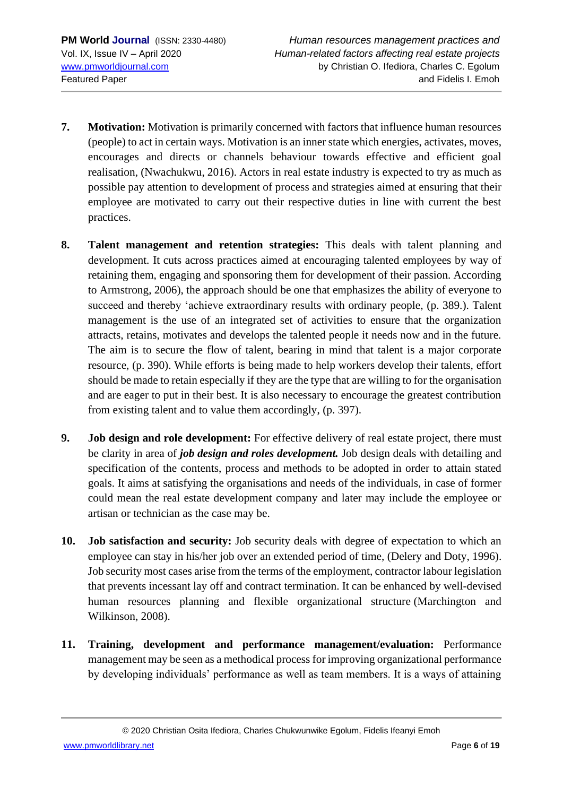- **7. Motivation:** Motivation is primarily concerned with factors that influence human resources (people) to act in certain ways. Motivation is an inner state which energies, activates, moves, encourages and directs or channels behaviour towards effective and efficient goal realisation, (Nwachukwu, 2016). Actors in real estate industry is expected to try as much as possible pay attention to development of process and strategies aimed at ensuring that their employee are motivated to carry out their respective duties in line with current the best practices.
- **8. Talent management and retention strategies:** This deals with talent planning and development. It cuts across practices aimed at encouraging talented employees by way of retaining them, engaging and sponsoring them for development of their passion. According to Armstrong, 2006), the approach should be one that emphasizes the ability of everyone to succeed and thereby 'achieve extraordinary results with ordinary people, (p. 389.). Talent management is the use of an integrated set of activities to ensure that the organization attracts, retains, motivates and develops the talented people it needs now and in the future. The aim is to secure the flow of talent, bearing in mind that talent is a major corporate resource, (p. 390). While efforts is being made to help workers develop their talents, effort should be made to retain especially if they are the type that are willing to for the organisation and are eager to put in their best. It is also necessary to encourage the greatest contribution from existing talent and to value them accordingly, (p. 397).
- **9. Job design and role development:** For effective delivery of real estate project, there must be clarity in area of *job design and roles development.* Job design deals with detailing and specification of the contents, process and methods to be adopted in order to attain stated goals. It aims at satisfying the organisations and needs of the individuals, in case of former could mean the real estate development company and later may include the employee or artisan or technician as the case may be.
- **10. Job satisfaction and security:** Job security deals with degree of expectation to which an employee can stay in his/her job over an extended period of time, (Delery and Doty, 1996). Job security most cases arise from the terms of the employment, contractor labour legislation that prevents incessant lay off and contract termination. It can be enhanced by well-devised human resources planning and flexible organizational structure (Marchington and Wilkinson, 2008).
- **11. Training, development and performance management/evaluation:** Performance management may be seen as a methodical process for improving organizational performance by developing individuals' performance as well as team members. It is a ways of attaining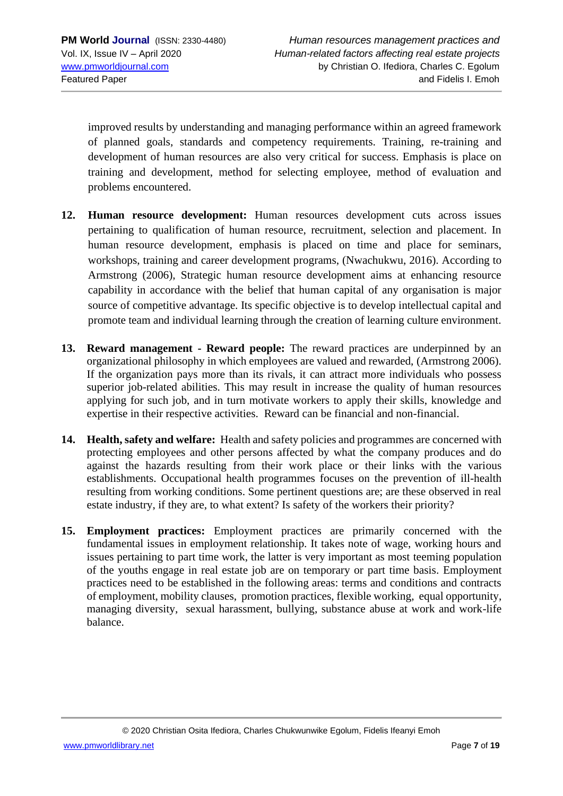improved results by understanding and managing performance within an agreed framework of planned goals, standards and competency requirements. Training, re-training and development of human resources are also very critical for success. Emphasis is place on training and development, method for selecting employee, method of evaluation and problems encountered.

- **12. Human resource development:** Human resources development cuts across issues pertaining to qualification of human resource, recruitment, selection and placement. In human resource development, emphasis is placed on time and place for seminars, workshops, training and career development programs, (Nwachukwu, 2016). According to Armstrong (2006), Strategic human resource development aims at enhancing resource capability in accordance with the belief that human capital of any organisation is major source of competitive advantage. Its specific objective is to develop intellectual capital and promote team and individual learning through the creation of learning culture environment.
- **13. Reward management - Reward people:** The reward practices are underpinned by an organizational philosophy in which employees are valued and rewarded, (Armstrong 2006). If the organization pays more than its rivals, it can attract more individuals who possess superior job-related abilities. This may result in increase the quality of human resources applying for such job, and in turn motivate workers to apply their skills, knowledge and expertise in their respective activities. Reward can be financial and non-financial.
- **14. Health, safety and welfare:** Health and safety policies and programmes are concerned with protecting employees and other persons affected by what the company produces and do against the hazards resulting from their work place or their links with the various establishments. Occupational health programmes focuses on the prevention of ill-health resulting from working conditions. Some pertinent questions are; are these observed in real estate industry, if they are, to what extent? Is safety of the workers their priority?
- **15. Employment practices:** Employment practices are primarily concerned with the fundamental issues in employment relationship. It takes note of wage, working hours and issues pertaining to part time work, the latter is very important as most teeming population of the youths engage in real estate job are on temporary or part time basis. Employment practices need to be established in the following areas: terms and conditions and contracts of employment, mobility clauses, promotion practices, flexible working, equal opportunity, managing diversity, sexual harassment, bullying, substance abuse at work and work-life balance.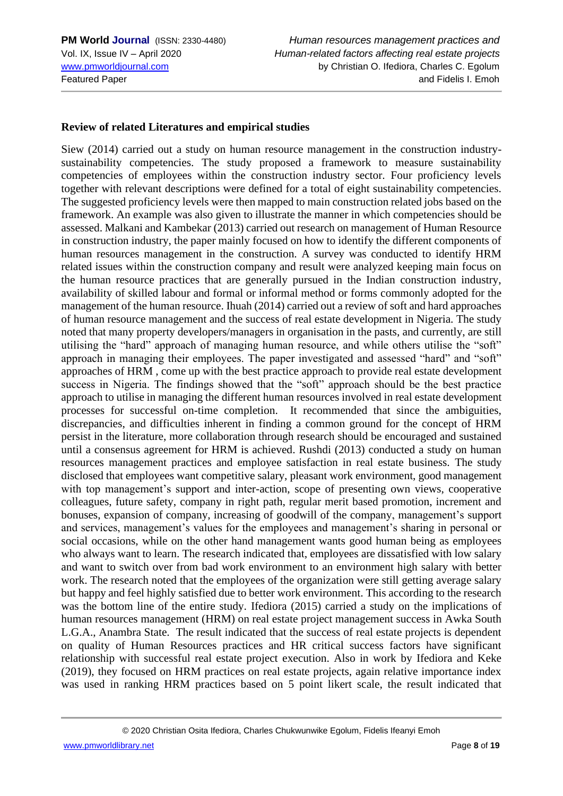### **Review of related Literatures and empirical studies**

Siew (2014) carried out a study on human resource management in the construction industrysustainability competencies. The study proposed a framework to measure sustainability competencies of employees within the construction industry sector. Four proficiency levels together with relevant descriptions were defined for a total of eight sustainability competencies. The suggested proficiency levels were then mapped to main construction related jobs based on the framework. An example was also given to illustrate the manner in which competencies should be assessed. Malkani and Kambekar (2013) carried out research on management of Human Resource in construction industry, the paper mainly focused on how to identify the different components of human resources management in the construction. A survey was conducted to identify HRM related issues within the construction company and result were analyzed keeping main focus on the human resource practices that are generally pursued in the Indian construction industry, availability of skilled labour and formal or informal method or forms commonly adopted for the management of the human resource. Ihuah (2014) carried out a review of soft and hard approaches of human resource management and the success of real estate development in Nigeria. The study noted that many property developers/managers in organisation in the pasts, and currently, are still utilising the "hard" approach of managing human resource, and while others utilise the "soft" approach in managing their employees. The paper investigated and assessed "hard" and "soft" approaches of HRM , come up with the best practice approach to provide real estate development success in Nigeria. The findings showed that the "soft" approach should be the best practice approach to utilise in managing the different human resources involved in real estate development processes for successful on-time completion. It recommended that since the ambiguities, discrepancies, and difficulties inherent in finding a common ground for the concept of HRM persist in the literature, more collaboration through research should be encouraged and sustained until a consensus agreement for HRM is achieved. Rushdi (2013) conducted a study on human resources management practices and employee satisfaction in real estate business. The study disclosed that employees want competitive salary, pleasant work environment, good management with top management's support and inter-action, scope of presenting own views, cooperative colleagues, future safety, company in right path, regular merit based promotion, increment and bonuses, expansion of company, increasing of goodwill of the company, management's support and services, management's values for the employees and management's sharing in personal or social occasions, while on the other hand management wants good human being as employees who always want to learn. The research indicated that, employees are dissatisfied with low salary and want to switch over from bad work environment to an environment high salary with better work. The research noted that the employees of the organization were still getting average salary but happy and feel highly satisfied due to better work environment. This according to the research was the bottom line of the entire study. Ifediora (2015) carried a study on the implications of human resources management (HRM) on real estate project management success in Awka South L.G.A., Anambra State. The result indicated that the success of real estate projects is dependent on quality of Human Resources practices and HR critical success factors have significant relationship with successful real estate project execution. Also in work by Ifediora and Keke (2019), they focused on HRM practices on real estate projects, again relative importance index was used in ranking HRM practices based on 5 point likert scale, the result indicated that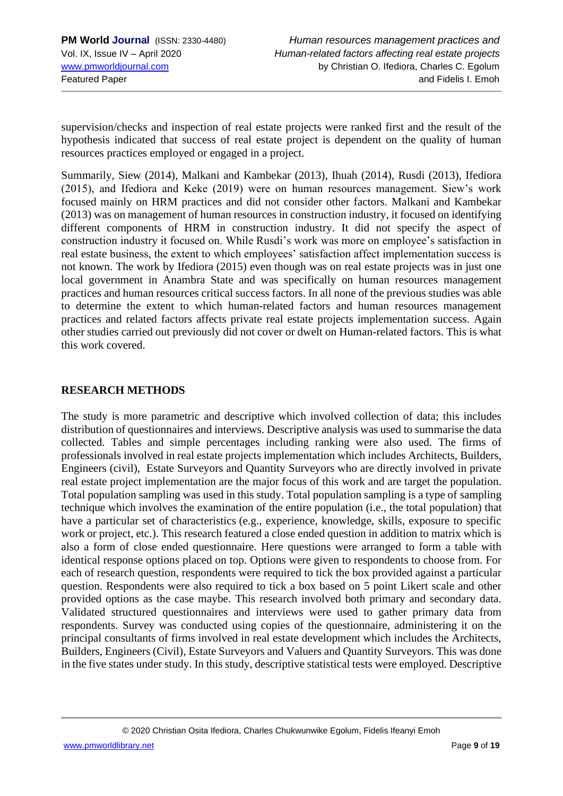supervision/checks and inspection of real estate projects were ranked first and the result of the hypothesis indicated that success of real estate project is dependent on the quality of human resources practices employed or engaged in a project.

Summarily, Siew (2014), Malkani and Kambekar (2013), Ihuah (2014), Rusdi (2013), Ifediora (2015), and Ifediora and Keke (2019) were on human resources management. Siew's work focused mainly on HRM practices and did not consider other factors. Malkani and Kambekar (2013) was on management of human resources in construction industry, it focused on identifying different components of HRM in construction industry. It did not specify the aspect of construction industry it focused on. While Rusdi's work was more on employee's satisfaction in real estate business, the extent to which employees' satisfaction affect implementation success is not known. The work by Ifediora (2015) even though was on real estate projects was in just one local government in Anambra State and was specifically on human resources management practices and human resources critical success factors. In all none of the previous studies was able to determine the extent to which human-related factors and human resources management practices and related factors affects private real estate projects implementation success. Again other studies carried out previously did not cover or dwelt on Human-related factors. This is what this work covered.

#### **RESEARCH METHODS**

The study is more parametric and descriptive which involved collection of data; this includes distribution of questionnaires and interviews. Descriptive analysis was used to summarise the data collected. Tables and simple percentages including ranking were also used. The firms of professionals involved in real estate projects implementation which includes Architects, Builders, Engineers (civil), Estate Surveyors and Quantity Surveyors who are directly involved in private real estate project implementation are the major focus of this work and are target the population. Total population sampling was used in this study. Total population sampling is a type of sampling technique which involves the examination of the entire population (i.e., the total population) that have a particular set of characteristics (e.g., experience, knowledge, skills, exposure to specific work or project, etc.). This research featured a close ended question in addition to matrix which is also a form of close ended questionnaire. Here questions were arranged to form a table with identical response options placed on top. Options were given to respondents to choose from. For each of research question, respondents were required to tick the box provided against a particular question. Respondents were also required to tick a box based on 5 point Likert scale and other provided options as the case maybe. This research involved both primary and secondary data. Validated structured questionnaires and interviews were used to gather primary data from respondents. Survey was conducted using copies of the questionnaire, administering it on the principal consultants of firms involved in real estate development which includes the Architects, Builders, Engineers (Civil), Estate Surveyors and Valuers and Quantity Surveyors. This was done in the five states under study. In this study, descriptive statistical tests were employed. Descriptive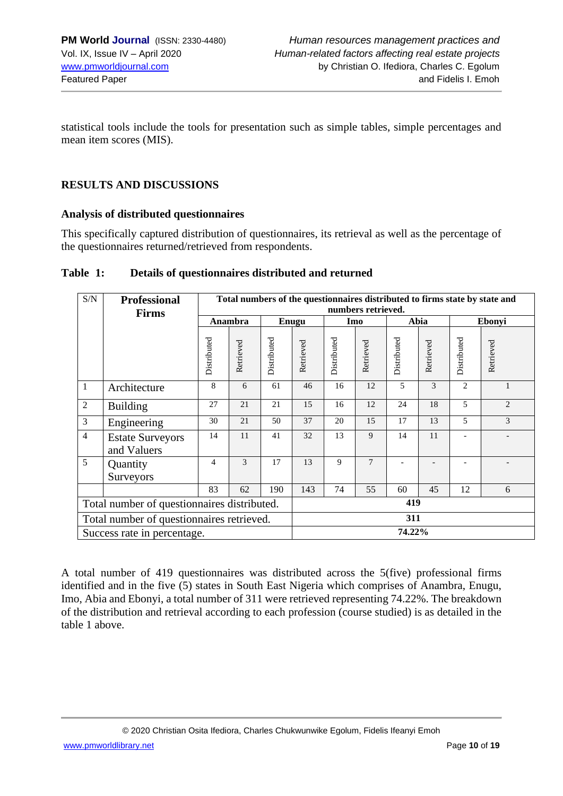statistical tools include the tools for presentation such as simple tables, simple percentages and mean item scores (MIS).

### **RESULTS AND DISCUSSIONS**

### **Analysis of distributed questionnaires**

This specifically captured distribution of questionnaires, its retrieval as well as the percentage of the questionnaires returned/retrieved from respondents.

| Table 1: | Details of questionnaires distributed and returned |  |
|----------|----------------------------------------------------|--|
|          |                                                    |  |

| S/N            | <b>Professional</b>                         |             |           |             | Total numbers of the questionnaires distributed to firms state by state and |             |                    |             |           |                |                |  |  |  |
|----------------|---------------------------------------------|-------------|-----------|-------------|-----------------------------------------------------------------------------|-------------|--------------------|-------------|-----------|----------------|----------------|--|--|--|
|                | <b>Firms</b>                                |             |           |             |                                                                             |             | numbers retrieved. |             |           |                |                |  |  |  |
|                |                                             |             | Anambra   |             | Enugu                                                                       | Imo         |                    | Abia        |           | Ebonyi         |                |  |  |  |
|                |                                             | Distributed | Retrieved | Distributed | Retrieved                                                                   | Distributed | Retrieved          | Distributed | Retrieved | Distributed    | Retrieved      |  |  |  |
| $\mathbf{1}$   | Architecture                                | 8           | 6         | 61          | 46                                                                          | 16          | 12                 | 5           | 3         | $\overline{2}$ |                |  |  |  |
| $\overline{2}$ | <b>Building</b>                             | 27          | 21        | 21          | 15                                                                          | 16          | 12                 | 24          | 18        | 5              | $\overline{c}$ |  |  |  |
| 3              | Engineering                                 | 30          | 21        | 50          | 37                                                                          | 20          | 15                 | 17          | 13        | 5              | 3              |  |  |  |
| $\overline{4}$ | <b>Estate Surveyors</b><br>and Valuers      | 14          | 11        | 41          | 32                                                                          | 13          | 9                  | 14          | 11        |                |                |  |  |  |
| 5              | Quantity<br>Surveyors                       | 4           | 3         | 17          | 13                                                                          | 9           | 7                  |             |           |                |                |  |  |  |
|                |                                             | 83          | 62        | 190         | 143                                                                         | 74          | 55                 | 60          | 45        | 12             | 6              |  |  |  |
|                | Total number of questionnaires distributed. |             |           |             | 419                                                                         |             |                    |             |           |                |                |  |  |  |
|                | Total number of questionnaires retrieved.   |             |           |             | 311                                                                         |             |                    |             |           |                |                |  |  |  |
|                | Success rate in percentage.                 |             |           |             | 74.22%                                                                      |             |                    |             |           |                |                |  |  |  |

A total number of 419 questionnaires was distributed across the 5(five) professional firms identified and in the five (5) states in South East Nigeria which comprises of Anambra, Enugu, Imo, Abia and Ebonyi, a total number of 311 were retrieved representing 74.22%. The breakdown of the distribution and retrieval according to each profession (course studied) is as detailed in the table 1 above.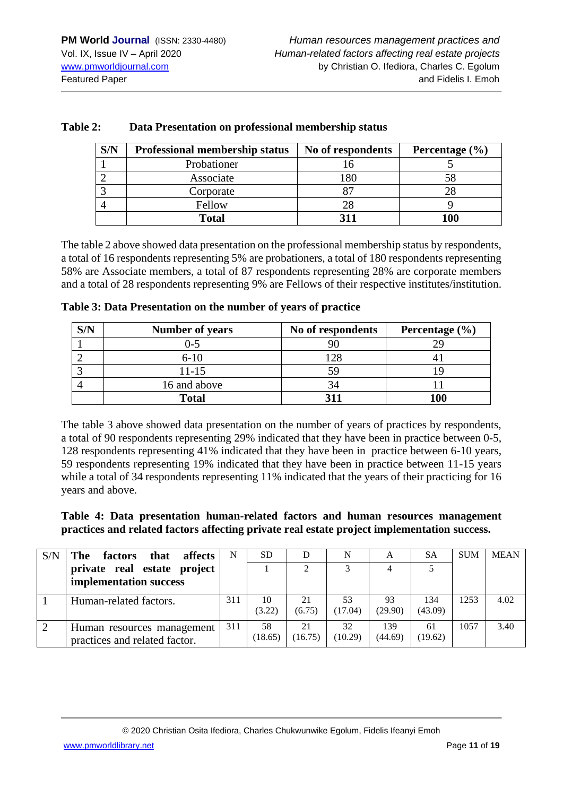| S/N | Professional membership status | No of respondents | Percentage $(\% )$ |
|-----|--------------------------------|-------------------|--------------------|
|     | Probationer                    |                   |                    |
|     | Associate                      | 180               |                    |
|     | Corporate                      |                   |                    |
| 4   | Fellow                         |                   |                    |
|     | <b>Total</b>                   |                   | 100                |

#### **Table 2: Data Presentation on professional membership status**

The table 2 above showed data presentation on the professional membership status by respondents, a total of 16 respondents representing 5% are probationers, a total of 180 respondents representing 58% are Associate members, a total of 87 respondents representing 28% are corporate members and a total of 28 respondents representing 9% are Fellows of their respective institutes/institution.

| Table 3: Data Presentation on the number of years of practice |
|---------------------------------------------------------------|
|---------------------------------------------------------------|

| S/N | <b>Number of years</b> | No of respondents | Percentage $(\% )$ |
|-----|------------------------|-------------------|--------------------|
|     | )-5                    |                   |                    |
|     | $6 - 10$               | l 28              |                    |
|     | $11 - 15$              | 59                |                    |
|     | 16 and above           | 34                |                    |
|     | <b>Total</b>           |                   | 100                |

The table 3 above showed data presentation on the number of years of practices by respondents, a total of 90 respondents representing 29% indicated that they have been in practice between 0-5, 128 respondents representing 41% indicated that they have been in practice between 6-10 years, 59 respondents representing 19% indicated that they have been in practice between 11-15 years while a total of 34 respondents representing 11% indicated that the years of their practicing for 16 years and above.

**Table 4: Data presentation human-related factors and human resources management practices and related factors affecting private real estate project implementation success.** 

| S/N | The<br>affects<br>that<br>factors                           | N   | <b>SD</b>     |               | N             | A              | <b>SA</b>      | <b>SUM</b> | <b>MEAN</b> |
|-----|-------------------------------------------------------------|-----|---------------|---------------|---------------|----------------|----------------|------------|-------------|
|     | private real estate project<br>implementation success       |     |               | $\mathcal{D}$ |               |                |                |            |             |
|     | Human-related factors.                                      | 311 | 10<br>(3.22)  | 21<br>(6.75)  | 53<br>(17.04) | 93<br>(29.90)  | 134<br>(43.09) | 1253       | 4.02        |
|     | Human resources management<br>practices and related factor. | 311 | 58<br>(18.65) | 21<br>(16.75) | 32<br>(10.29) | 139<br>(44.69) | 61<br>(19.62)  | 1057       | 3.40        |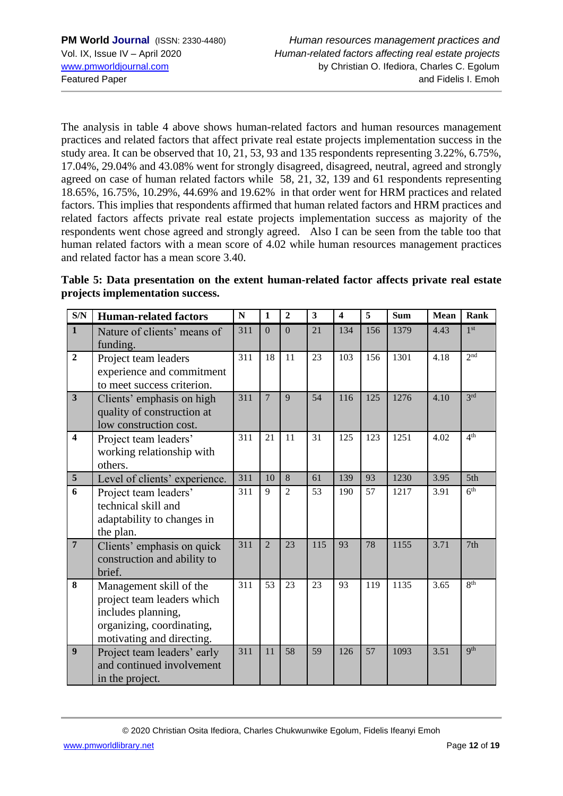The analysis in table 4 above shows human-related factors and human resources management practices and related factors that affect private real estate projects implementation success in the study area. It can be observed that 10, 21, 53, 93 and 135 respondents representing 3.22%, 6.75%, 17.04%, 29.04% and 43.08% went for strongly disagreed, disagreed, neutral, agreed and strongly agreed on case of human related factors while 58, 21, 32, 139 and 61 respondents representing 18.65%, 16.75%, 10.29%, 44.69% and 19.62% in that order went for HRM practices and related factors. This implies that respondents affirmed that human related factors and HRM practices and related factors affects private real estate projects implementation success as majority of the respondents went chose agreed and strongly agreed. Also I can be seen from the table too that human related factors with a mean score of 4.02 while human resources management practices and related factor has a mean score 3.40.

**Table 5: Data presentation on the extent human-related factor affects private real estate projects implementation success.**

| S/N                     | <b>Human-related factors</b>                                                                                                          | N   | 1              | $\overline{2}$  | $\overline{\mathbf{3}}$ | $\overline{\mathbf{4}}$ | 5               | Sum  | Mean | <b>Rank</b>     |
|-------------------------|---------------------------------------------------------------------------------------------------------------------------------------|-----|----------------|-----------------|-------------------------|-------------------------|-----------------|------|------|-----------------|
| $\mathbf{1}$            | Nature of clients' means of<br>funding.                                                                                               | 311 | $\Omega$       | $\overline{0}$  | 21                      | 134                     | 156             | 1379 | 4.43 | 1 <sup>st</sup> |
| $\overline{2}$          | Project team leaders<br>experience and commitment<br>to meet success criterion.                                                       | 311 | 18             | 11              | 23                      | 103                     | 156             | 1301 | 4.18 | 2 <sub>nd</sub> |
| $\overline{\mathbf{3}}$ | Clients' emphasis on high<br>quality of construction at<br>low construction cost.                                                     | 311 | $\overline{7}$ | 9               | 54                      | 116                     | 125             | 1276 | 4.10 | 3rd             |
| $\overline{\mathbf{4}}$ | Project team leaders'<br>working relationship with<br>others.                                                                         | 311 | 21             | 11              | 31                      | 125                     | 123             | 1251 | 4.02 | 4 <sup>th</sup> |
| 5                       | Level of clients' experience.                                                                                                         | 311 | 10             | 8               | 61                      | 139                     | 93              | 1230 | 3.95 | 5th             |
| 6                       | Project team leaders'<br>technical skill and<br>adaptability to changes in<br>the plan.                                               | 311 | 9              | 2               | 53                      | 190                     | 57              | 1217 | 3.91 | 6 <sup>th</sup> |
| $\overline{7}$          | Clients' emphasis on quick<br>construction and ability to<br>brief.                                                                   | 311 | $\overline{2}$ | 23              | 115                     | 93                      | 78              | 1155 | 3.71 | 7th             |
| 8                       | Management skill of the<br>project team leaders which<br>includes planning,<br>organizing, coordinating,<br>motivating and directing. | 311 | 53             | 23              | 23                      | 93                      | 119             | 1135 | 3.65 | 8 <sup>th</sup> |
| $\overline{9}$          | Project team leaders' early<br>and continued involvement<br>in the project.                                                           | 311 | 11             | $\overline{58}$ | 59                      | 126                     | $\overline{57}$ | 1093 | 3.51 | <b>Qth</b>      |

© 2020 Christian Osita Ifediora, Charles Chukwunwike Egolum, Fidelis Ifeanyi Emoh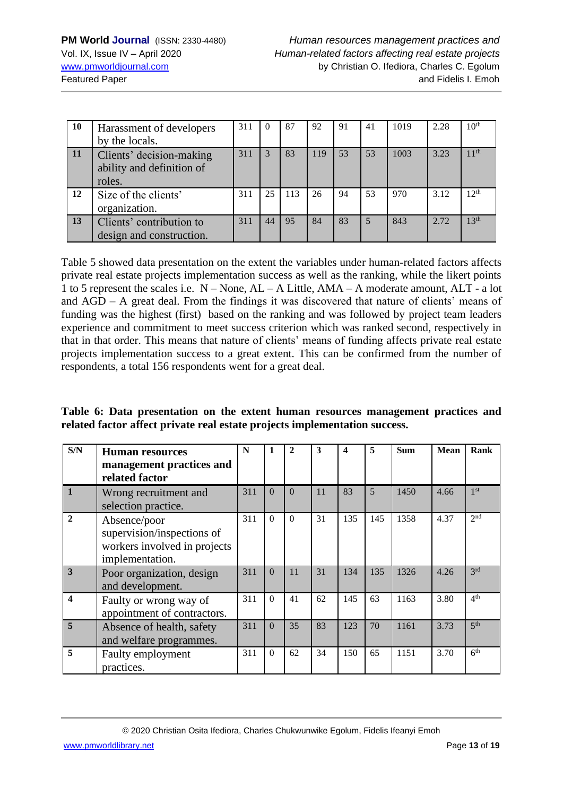| 10 | Harassment of developers<br>by the locals.                      | 311 |    | 87  | 92  | 91 | 41 | 1019 | 2.28 | 10 <sup>th</sup> |
|----|-----------------------------------------------------------------|-----|----|-----|-----|----|----|------|------|------------------|
| 11 | Clients' decision-making<br>ability and definition of<br>roles. | 311 |    | 83  | 119 | 53 | 53 | 1003 | 3.23 | 11 <sup>th</sup> |
| 12 | Size of the clients'<br>organization.                           | 311 | 25 | 113 | 26  | 94 | 53 | 970  | 3.12 | 12 <sup>th</sup> |
| 13 | Clients' contribution to<br>design and construction.            | 311 | 44 | 95  | 84  | 83 | 5  | 843  | 2.72 | 13 <sup>th</sup> |

Table 5 showed data presentation on the extent the variables under human-related factors affects private real estate projects implementation success as well as the ranking, while the likert points 1 to 5 represent the scales i.e. N – None, AL – A Little, AMA – A moderate amount, ALT - a lot and AGD – A great deal. From the findings it was discovered that nature of clients' means of funding was the highest (first) based on the ranking and was followed by project team leaders experience and commitment to meet success criterion which was ranked second, respectively in that in that order. This means that nature of clients' means of funding affects private real estate projects implementation success to a great extent. This can be confirmed from the number of respondents, a total 156 respondents went for a great deal.

**Table 6: Data presentation on the extent human resources management practices and related factor affect private real estate projects implementation success.**

| S/N          | <b>Human resources</b><br>management practices and<br>related factor                          | N   | $\mathbf{1}$ | 2        | 3  | 4   | 5   | <b>Sum</b> | <b>Mean</b> | Rank            |
|--------------|-----------------------------------------------------------------------------------------------|-----|--------------|----------|----|-----|-----|------------|-------------|-----------------|
|              | Wrong recruitment and<br>selection practice.                                                  | 311 | $\Omega$     | $\Omega$ | 11 | 83  | 5   | 1450       | 4.66        | 1 <sup>st</sup> |
| $\mathbf{2}$ | Absence/poor<br>supervision/inspections of<br>workers involved in projects<br>implementation. | 311 | $\Omega$     | $\Omega$ | 31 | 135 | 145 | 1358       | 4.37        | 2 <sup>nd</sup> |
| 3            | Poor organization, design<br>and development.                                                 | 311 | $\Omega$     | 11       | 31 | 134 | 135 | 1326       | 4.26        | 2rd             |
| 4            | Faulty or wrong way of<br>appointment of contractors.                                         | 311 | $\Omega$     | 41       | 62 | 145 | 63  | 1163       | 3.80        | 4 <sup>th</sup> |
| 5            | Absence of health, safety<br>and welfare programmes.                                          | 311 | $\Omega$     | 35       | 83 | 123 | 70  | 1161       | 3.73        | 5 <sup>th</sup> |
| 5            | Faulty employment<br>practices.                                                               | 311 | $\theta$     | 62       | 34 | 150 | 65  | 1151       | 3.70        | 6 <sup>th</sup> |

© 2020 Christian Osita Ifediora, Charles Chukwunwike Egolum, Fidelis Ifeanyi Emoh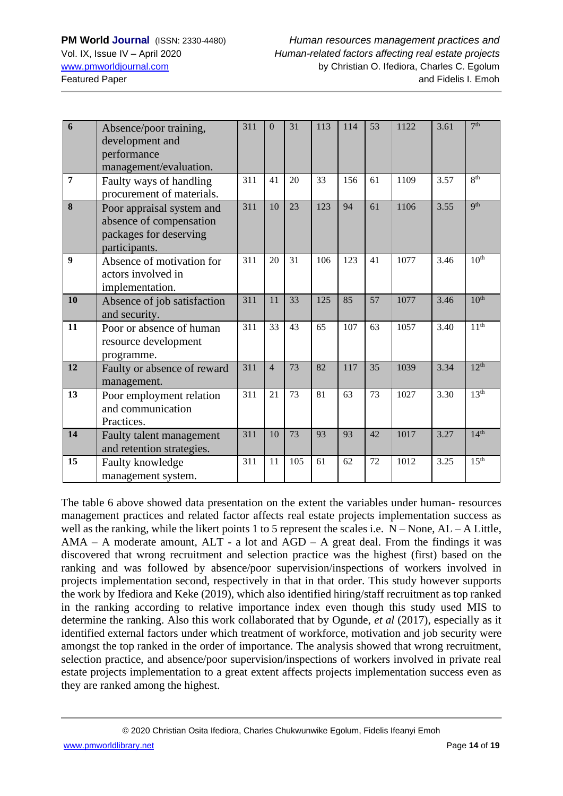| 6              | Absence/poor training,<br>development and<br>performance<br>management/evaluation.              | 311 | $\Omega$       | 31              | 113 | 114 | 53 | 1122 | 3.61 | 7 <sup>th</sup>  |
|----------------|-------------------------------------------------------------------------------------------------|-----|----------------|-----------------|-----|-----|----|------|------|------------------|
| $\overline{7}$ | Faulty ways of handling<br>procurement of materials.                                            | 311 | 41             | 20              | 33  | 156 | 61 | 1109 | 3.57 | 8 <sup>th</sup>  |
| 8              | Poor appraisal system and<br>absence of compensation<br>packages for deserving<br>participants. | 311 | 10             | 23              | 123 | 94  | 61 | 1106 | 3.55 | <b>Qth</b>       |
| 9              | Absence of motivation for<br>actors involved in<br>implementation.                              | 311 | 20             | 31              | 106 | 123 | 41 | 1077 | 3.46 | 10 <sup>th</sup> |
| 10             | Absence of job satisfaction<br>and security.                                                    | 311 | 11             | 33              | 125 | 85  | 57 | 1077 | 3.46 | 10 <sup>th</sup> |
| 11             | Poor or absence of human<br>resource development<br>programme.                                  | 311 | 33             | 43              | 65  | 107 | 63 | 1057 | 3.40 | 11 <sup>th</sup> |
| 12             | Faulty or absence of reward<br>management.                                                      | 311 | $\overline{4}$ | 73              | 82  | 117 | 35 | 1039 | 3.34 | 12 <sup>th</sup> |
| 13             | Poor employment relation<br>and communication<br>Practices.                                     | 311 | 21             | 73              | 81  | 63  | 73 | 1027 | 3.30 | 13 <sup>th</sup> |
| 14             | Faulty talent management<br>and retention strategies.                                           | 311 | 10             | $\overline{73}$ | 93  | 93  | 42 | 1017 | 3.27 | 14 <sup>th</sup> |
| 15             | Faulty knowledge<br>management system.                                                          | 311 | 11             | 105             | 61  | 62  | 72 | 1012 | 3.25 | 15 <sup>th</sup> |

The table 6 above showed data presentation on the extent the variables under human- resources management practices and related factor affects real estate projects implementation success as well as the ranking, while the likert points 1 to 5 represent the scales i.e.  $N - None$ ,  $AL - A$  Little,  $AMA - A$  moderate amount,  $ALT - a$  lot and  $AGD - A$  great deal. From the findings it was discovered that wrong recruitment and selection practice was the highest (first) based on the ranking and was followed by absence/poor supervision/inspections of workers involved in projects implementation second, respectively in that in that order. This study however supports the work by Ifediora and Keke (2019), which also identified hiring/staff recruitment as top ranked in the ranking according to relative importance index even though this study used MIS to determine the ranking. Also this work collaborated that by Ogunde, *et al* (2017), especially as it identified external factors under which treatment of workforce, motivation and job security were amongst the top ranked in the order of importance. The analysis showed that wrong recruitment, selection practice, and absence/poor supervision/inspections of workers involved in private real estate projects implementation to a great extent affects projects implementation success even as they are ranked among the highest.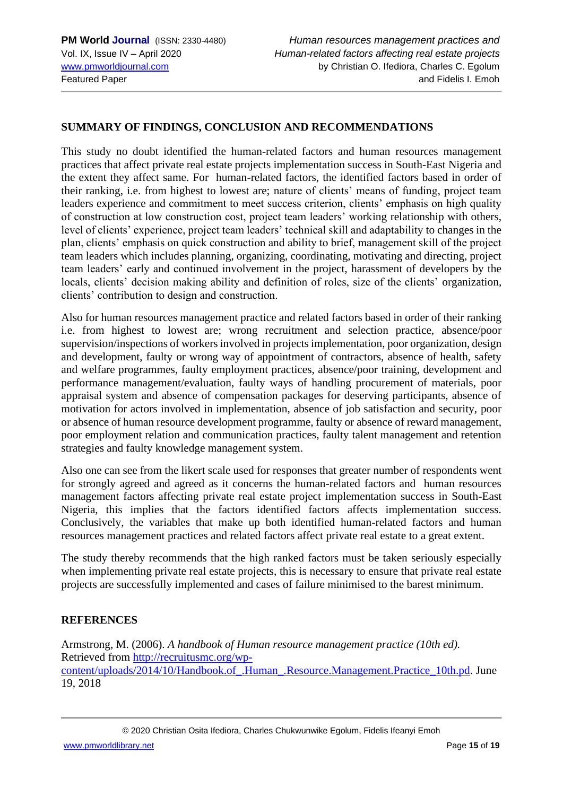### **SUMMARY OF FINDINGS, CONCLUSION AND RECOMMENDATIONS**

This study no doubt identified the human-related factors and human resources management practices that affect private real estate projects implementation success in South-East Nigeria and the extent they affect same. For human-related factors, the identified factors based in order of their ranking, i.e. from highest to lowest are; nature of clients' means of funding, project team leaders experience and commitment to meet success criterion, clients' emphasis on high quality of construction at low construction cost, project team leaders' working relationship with others, level of clients' experience, project team leaders' technical skill and adaptability to changes in the plan, clients' emphasis on quick construction and ability to brief, management skill of the project team leaders which includes planning, organizing, coordinating, motivating and directing, project team leaders' early and continued involvement in the project, harassment of developers by the locals, clients' decision making ability and definition of roles, size of the clients' organization, clients' contribution to design and construction.

Also for human resources management practice and related factors based in order of their ranking i.e. from highest to lowest are; wrong recruitment and selection practice, absence/poor supervision/inspections of workers involved in projects implementation, poor organization, design and development, faulty or wrong way of appointment of contractors, absence of health, safety and welfare programmes, faulty employment practices, absence/poor training, development and performance management/evaluation, faulty ways of handling procurement of materials, poor appraisal system and absence of compensation packages for deserving participants, absence of motivation for actors involved in implementation, absence of job satisfaction and security, poor or absence of human resource development programme, faulty or absence of reward management, poor employment relation and communication practices, faulty talent management and retention strategies and faulty knowledge management system.

Also one can see from the likert scale used for responses that greater number of respondents went for strongly agreed and agreed as it concerns the human-related factors and human resources management factors affecting private real estate project implementation success in South-East Nigeria, this implies that the factors identified factors affects implementation success. Conclusively, the variables that make up both identified human-related factors and human resources management practices and related factors affect private real estate to a great extent.

The study thereby recommends that the high ranked factors must be taken seriously especially when implementing private real estate projects, this is necessary to ensure that private real estate projects are successfully implemented and cases of failure minimised to the barest minimum.

#### **REFERENCES**

Armstrong, M. (2006). *A handbook of Human resource management practice (10th ed).*  Retrieved from [http://recruitusmc.org/wp](http://recruitusmc.org/wp-content/uploads/2014/10/Handbook.of_.Human_.Resource.Management.Practice_10th.pd)[content/uploads/2014/10/Handbook.of\\_.Human\\_.Resource.Management.Practice\\_10th.pd.](http://recruitusmc.org/wp-content/uploads/2014/10/Handbook.of_.Human_.Resource.Management.Practice_10th.pd) June 19, 2018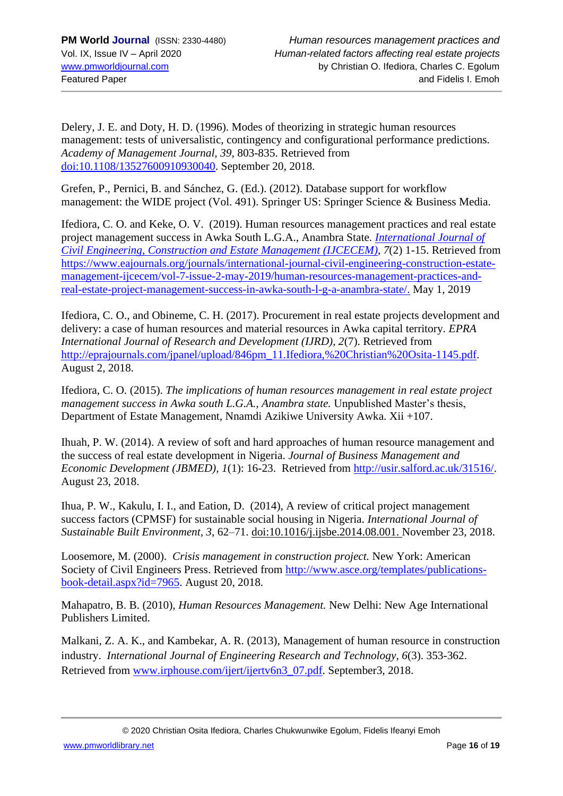Delery, J. E. and Doty, H. D. (1996). Modes of theorizing in strategic human resources management: tests of universalistic, contingency and configurational performance predictions. *Academy of Management Journal, 39*, 803-835. Retrieved from [doi:10.1108/13527600910930040.](https://doi:10.1108/13527600910930040) September 20, 2018.

Grefen, P., Pernici, B. and Sánchez, G. (Ed.). (2012). Database support for workflow management: the WIDE project (Vol. 491). Springer US: Springer Science & Business Media.

Ifediora, C. O. and Keke, O. V. (2019). Human resources management practices and real estate project management success in Awka South L.G.A., Anambra State. *[International](http://www.eajournals.org/journals/international-journal-civil-engineering-construction-estate-management-ijcecem/) Journal of Civil Engineering, [Construction](http://www.eajournals.org/journals/international-journal-civil-engineering-construction-estate-management-ijcecem/) and Estate Management (IJCECEM), 7*(2) 1-15. Retrieved from [https://www.eajournals.org/journals/international-journal-civil-engineering-construction-estate](https://www.eajournals.org/journals/international-journal-civil-engineering-construction-estate-management-ijcecem/vol-7-issue-2-may-2019/human-resources-management-practices-and-real-estate-project-management-success-in-awka-south-l-g-a-anambra-state/)[management-ijcecem/vol-7-issue-2-may-2019/human-resources-management-practices-and](https://www.eajournals.org/journals/international-journal-civil-engineering-construction-estate-management-ijcecem/vol-7-issue-2-may-2019/human-resources-management-practices-and-real-estate-project-management-success-in-awka-south-l-g-a-anambra-state/)[real-estate-project-management-success-in-awka-south-l-g-a-anambra-state/.](https://www.eajournals.org/journals/international-journal-civil-engineering-construction-estate-management-ijcecem/vol-7-issue-2-may-2019/human-resources-management-practices-and-real-estate-project-management-success-in-awka-south-l-g-a-anambra-state/) May 1, 2019

Ifediora, C. O., and Obineme, C. H. (2017). Procurement in real estate projects development and delivery: a case of human resources and material resources in Awka capital territory. *EPRA International Journal of Research and Development (IJRD), 2*(7). Retrieved from [http://eprajournals.com/jpanel/upload/846pm\\_11.Ifediora,%20Christian%20Osita-1145.pdf.](http://eprajournals.com/jpanel/upload/846pm_11.Ifediora,%20Christian%20Osita-1145.pdf) August 2, 2018.

Ifediora, C. O. (2015). *The implications of human resources management in real estate project management success in Awka south L.G.A., Anambra state. Unpublished Master's thesis,* Department of Estate Management, Nnamdi Azikiwe University Awka. Xii +107.

Ihuah, P. W. (2014). A review of soft and hard approaches of human resource management and the success of real estate development in Nigeria. *Journal of Business Management and Economic Development (JBMED), 1*(1): 16-23. Retrieved from [http://usir.salford.ac.uk/31516/.](http://usir.salford.ac.uk/31516/) August 23, 2018.

Ihua, P. W., Kakulu, I. I., and Eation, D. (2014), A review of critical project management success factors (CPMSF) for sustainable social housing in Nigeria. *International Journal of Sustainable Built Environment, 3*, 62–71. [doi:10.1016/j.ijsbe.2014.08.001.](https://doi.org/10.1016/j.ijsbe.2014.08.001) November 23, 2018.

Loosemore, M. (2000). *Crisis management in construction project.* New York: American Society of Civil Engineers Press. Retrieved from [http://www.asce.org/templates/publications](http://www.asce.org/templates/publications-book-detail.aspx?id=7965)[book-detail.aspx?id=7965.](http://www.asce.org/templates/publications-book-detail.aspx?id=7965) August 20, 2018.

Mahapatro, B. B. (2010), *Human Resources Management.* New Delhi: New Age International Publishers Limited.

Malkani, Z. A. K., and Kambekar, A. R. (2013), Management of human resource in construction industry. *International Journal of Engineering Research and Technology, 6*(3). 353-362. Retrieved from www.irphouse.com/ijert/ijerty6n3\_07.pdf. September3, 2018.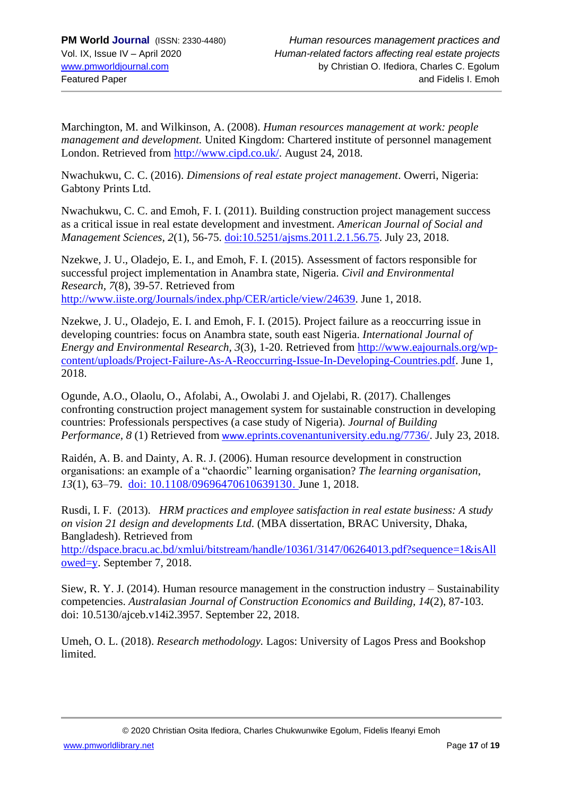Marchington, M. and Wilkinson, A. (2008). *Human resources management at work: people management and development.* United Kingdom: Chartered institute of personnel management London. Retrieved from [http://www.cipd.co.uk/.](http://www.cipd.co.uk/) August 24, 2018.

Nwachukwu, C. C. (2016). *Dimensions of real estate project management*. Owerri, Nigeria: Gabtony Prints Ltd.

Nwachukwu, C. C. and Emoh, F. I. (2011). Building construction project management success as a critical issue in real estate development and investment. *American Journal of Social and Management Sciences, 2*(1), 56-75. [doi:10.5251/ajsms.2011.2.1.56.75.](https://doi:10.5251/ajsms.2011.2.1.56.75) July 23, 2018.

Nzekwe, J. U., Oladejo, E. I., and Emoh, F. I. (2015). Assessment of factors responsible for successful project implementation in Anambra state, Nigeria. *Civil and Environmental Research, 7*(8), 39-57. Retrieved from [http://www.iiste.org/Journals/index.php/CER/article/view/24639.](http://www.iiste.org/Journals/index.php/CER/article/view/24639) June 1, 2018.

Nzekwe, J. U., Oladejo, E. I. and Emoh, F. I. (2015). Project failure as a reoccurring issue in developing countries: focus on Anambra state, south east Nigeria. *International Journal of Energy and Environmental Research, 3*(3), 1-20. Retrieved from [http://www.eajournals.org/wp](http://www.eajournals.org/wp-content/uploads/Project-Failure-As-A-Reoccurring-Issue-In-Developing-Countries.pdf)[content/uploads/Project-Failure-As-A-Reoccurring-Issue-In-Developing-Countries.pdf.](http://www.eajournals.org/wp-content/uploads/Project-Failure-As-A-Reoccurring-Issue-In-Developing-Countries.pdf) June 1, 2018.

Ogunde, A.O., Olaolu, O., Afolabi, A., Owolabi J. and Ojelabi, R. (2017). Challenges confronting construction project management system for sustainable construction in developing countries: Professionals perspectives (a case study of Nigeria). *Journal of Building Performance, 8* (1) Retrieved from www.[eprints.covenantuniversity.edu.ng/7736/.](http://www.eprints.covenantuniversity.edu.ng/7736/) July 23, 2018.

Raidén, A. B. and Dainty, A. R. J. (2006). Human resource development in construction organisations: an example of a "chaordic" learning organisation? *The learning organisation*, *13*(1), 63–79. [doi: 10.1108/09696470610639130.](https://doi.org/10.1108/09696470610639130) June 1, 2018.

Rusdi, I. F. (2013). *HRM practices and employee satisfaction in real estate business: A study on vision 21 design and developments Ltd.* (MBA dissertation, BRAC University, Dhaka, Bangladesh). Retrieved from

[http://dspace.bracu.ac.bd/xmlui/bitstream/handle/10361/3147/06264013.pdf?sequence=1&isAll](http://dspace.bracu.ac.bd/xmlui/bitstream/handle/10361/3147/06264013.pdf?sequence=1&isAllowed=y) [owed=y.](http://dspace.bracu.ac.bd/xmlui/bitstream/handle/10361/3147/06264013.pdf?sequence=1&isAllowed=y) September 7, 2018.

Siew, R. Y. J. (2014). Human resource management in the construction industry – Sustainability competencies. *Australasian Journal of Construction Economics and Building, 14*(2), 87-103. doi: 10.5130/ajceb.v14i2.3957. September 22, 2018.

Umeh, O. L. (2018). *Research methodology.* Lagos: University of Lagos Press and Bookshop limited.

[www.pmworldlibrary.net](http://www.pmworldlibrary.net/) Page **17** of **19**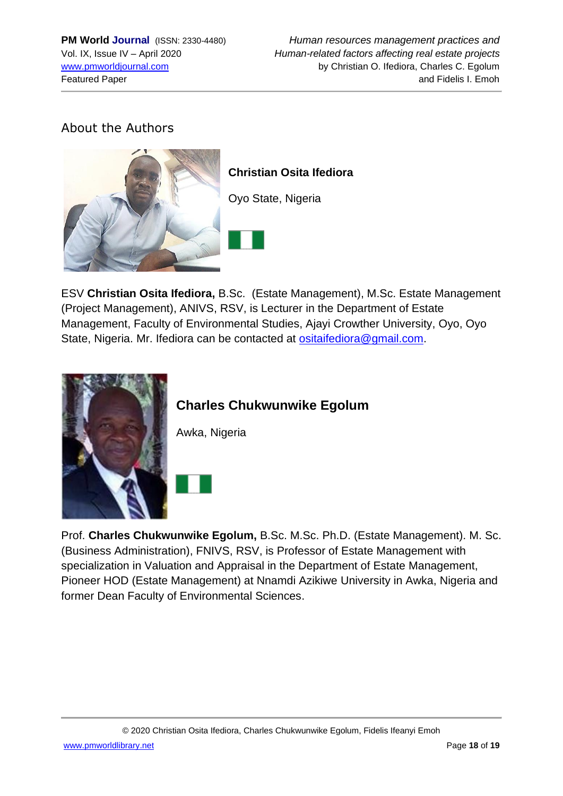### About the Authors



ESV **Christian Osita Ifediora,** B.Sc. (Estate Management), M.Sc. Estate Management (Project Management), ANIVS, RSV, is Lecturer in the Department of Estate Management, Faculty of Environmental Studies, Ajayi Crowther University, Oyo, Oyo State, Nigeria. Mr. Ifediora can be contacted at [ositaifediora@gmail.com.](mailto:ositaifediora@gmail.com)



## **Charles Chukwunwike Egolum**

Awka, Nigeria



Prof. **Charles Chukwunwike Egolum,** B.Sc. M.Sc. Ph.D. (Estate Management). M. Sc. (Business Administration), FNIVS, RSV, is Professor of Estate Management with specialization in Valuation and Appraisal in the Department of Estate Management, Pioneer HOD (Estate Management) at Nnamdi Azikiwe University in Awka, Nigeria and former Dean Faculty of Environmental Sciences.

[www.pmworldlibrary.net](http://www.pmworldlibrary.net/) Page **18** of **19**